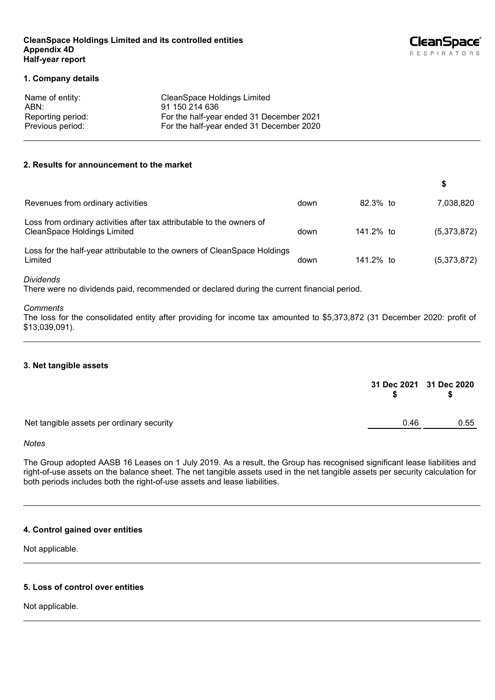#### **1. Company details**

| Name of entity:   | <b>CleanSpace Holdings Limited</b>       |
|-------------------|------------------------------------------|
| ABN:              | 91 150 214 636                           |
| Reporting period: | For the half-year ended 31 December 2021 |
| Previous period:  | For the half-year ended 31 December 2020 |

#### **2. Results for announcement to the market**

| Revenues from ordinary activities                                                                           | down | 82.3% to  | 7,038,820   |
|-------------------------------------------------------------------------------------------------------------|------|-----------|-------------|
| Loss from ordinary activities after tax attributable to the owners of<br><b>CleanSpace Holdings Limited</b> | down | 141.2% to | (5,373,872) |
| Loss for the half-year attributable to the owners of CleanSpace Holdings<br>Limited                         | down | 141.2% to | (5,373,872) |

#### *Dividends*

There were no dividends paid, recommended or declared during the current financial period.

#### *Comments*

The loss for the consolidated entity after providing for income tax amounted to \$5,373,872 (31 December 2020: profit of \$13,039,091).

#### **3. Net tangible assets**

|                                           |      | 31 Dec 2021 31 Dec 2020 |
|-------------------------------------------|------|-------------------------|
| Net tangible assets per ordinary security | 0.46 | 0.55                    |

#### *Notes*

The Group adopted AASB 16 Leases on 1 July 2019. As a result, the Group has recognised significant lease liabilities and right-of-use assets on the balance sheet. The net tangible assets used in the net tangible assets per security calculation for both periods includes both the right-of-use assets and lease liabilities.

#### **4. Control gained over entities**

Not applicable.

#### **5. Loss of control over entities**

Not applicable.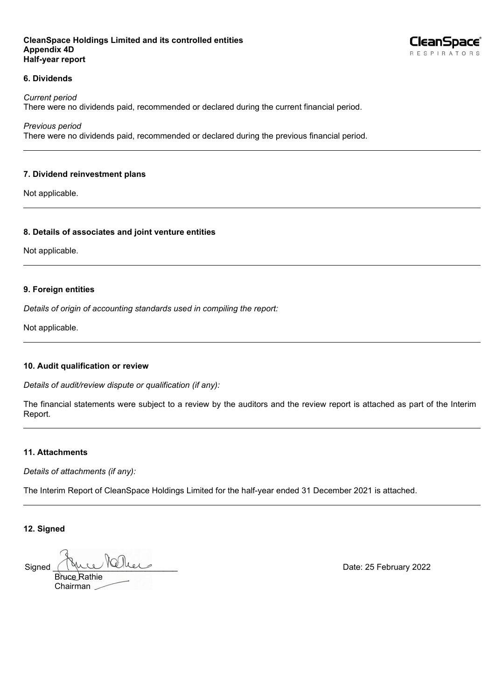#### **CleanSpace Holdings Limited and its controlled entities Appendix 4D Half-year report**



#### **6. Dividends**

*Current period* There were no dividends paid, recommended or declared during the current financial period.

*Previous period*

There were no dividends paid, recommended or declared during the previous financial period.

### **7. Dividend reinvestment plans**

Not applicable.

### **8. Details of associates and joint venture entities**

Not applicable.

#### **9. Foreign entities**

*Details of origin of accounting standards used in compiling the report:*

Not applicable.

#### **10. Audit qualification or review**

*Details of audit/review dispute or qualification (if any):*

The financial statements were subject to a review by the auditors and the review report is attached as part of the Interim Report.

#### **11. Attachments**

*Details of attachments (if any):*

The Interim Report of CleanSpace Holdings Limited for the half-year ended 31 December 2021 is attached.

**12. Signed**

Signed Ruce Keller **Bruce Rathie** 

Chairman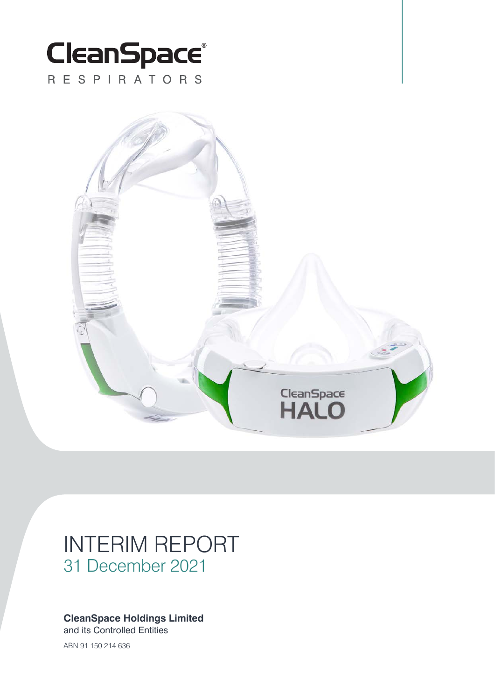



# INTERIM REPORT 31 December 2021

### **CleanSpace Holdings Limited**

and its Controlled Entities

ABN 91 150 214 636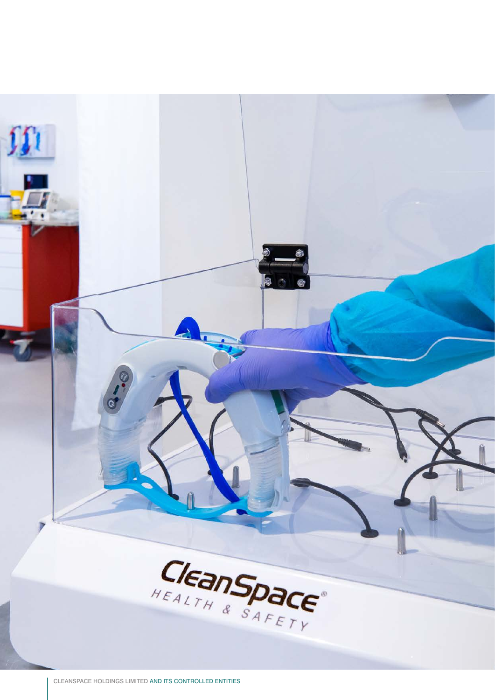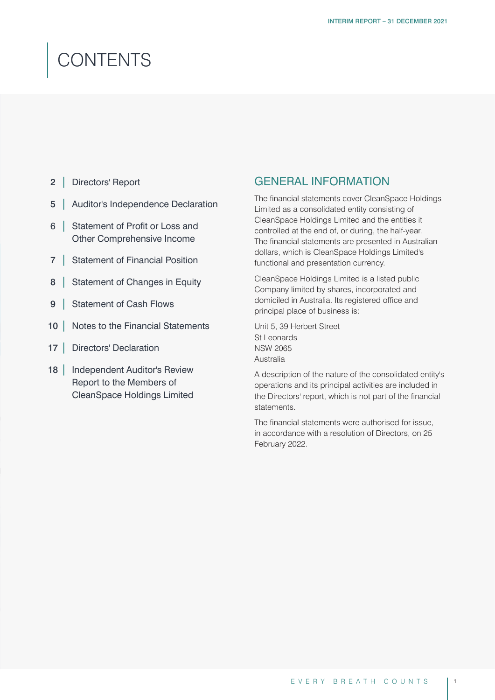# **ONTENTS**

- 2 | Directors' Report
- 5 | Auditor's Independence Declaration
- 6 | Statement of Profit or Loss and Other Comprehensive Income
- 7 | Statement of Financial Position
- 8 | Statement of Changes in Equity
- 9 | Statement of Cash Flows
- 10 | Notes to the Financial Statements
- 17 | Directors' Declaration
- 18 | Independent Auditor's Review Report to the Members of CleanSpace Holdings Limited

### GENERAL INFORMATION

The financial statements cover CleanSpace Holdings Limited as a consolidated entity consisting of CleanSpace Holdings Limited and the entities it controlled at the end of, or during, the half-year. The financial statements are presented in Australian dollars, which is CleanSpace Holdings Limited's functional and presentation currency.

CleanSpace Holdings Limited is a listed public Company limited by shares, incorporated and domiciled in Australia. Its registered office and principal place of business is:

Unit 5, 39 Herbert Street St Leonards NSW 2065 Australia

A description of the nature of the consolidated entity's operations and its principal activities are included in the Directors' report, which is not part of the financial statements.

The financial statements were authorised for issue, in accordance with a resolution of Directors, on 25 February 2022.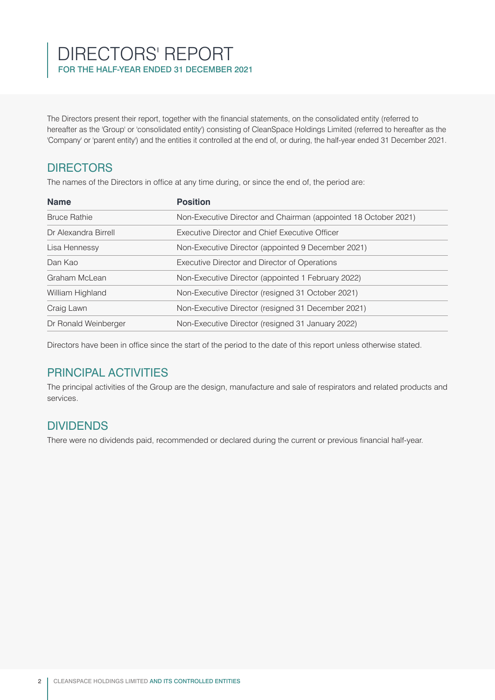# FOR THE HALF-YEAR ENDED 31 DECEMBER 2021 DIRECTORS' REPORT

The Directors present their report, together with the financial statements, on the consolidated entity (referred to hereafter as the 'Group' or 'consolidated entity') consisting of CleanSpace Holdings Limited (referred to hereafter as the 'Company' or 'parent entity') and the entities it controlled at the end of, or during, the half-year ended 31 December 2021.

### **DIRECTORS**

The names of the Directors in office at any time during, or since the end of, the period are:

| <b>Name</b>          | <b>Position</b>                                                 |
|----------------------|-----------------------------------------------------------------|
| <b>Bruce Rathie</b>  | Non-Executive Director and Chairman (appointed 18 October 2021) |
| Dr Alexandra Birrell | Executive Director and Chief Executive Officer                  |
| Lisa Hennessy        | Non-Executive Director (appointed 9 December 2021)              |
| Dan Kao              | Executive Director and Director of Operations                   |
| Graham McLean        | Non-Executive Director (appointed 1 February 2022)              |
| William Highland     | Non-Executive Director (resigned 31 October 2021)               |
| Craig Lawn           | Non-Executive Director (resigned 31 December 2021)              |
| Dr Ronald Weinberger | Non-Executive Director (resigned 31 January 2022)               |

Directors have been in office since the start of the period to the date of this report unless otherwise stated.

### PRINCIPAL ACTIVITIES

The principal activities of the Group are the design, manufacture and sale of respirators and related products and services.

### DIVIDENDS

There were no dividends paid, recommended or declared during the current or previous financial half-year.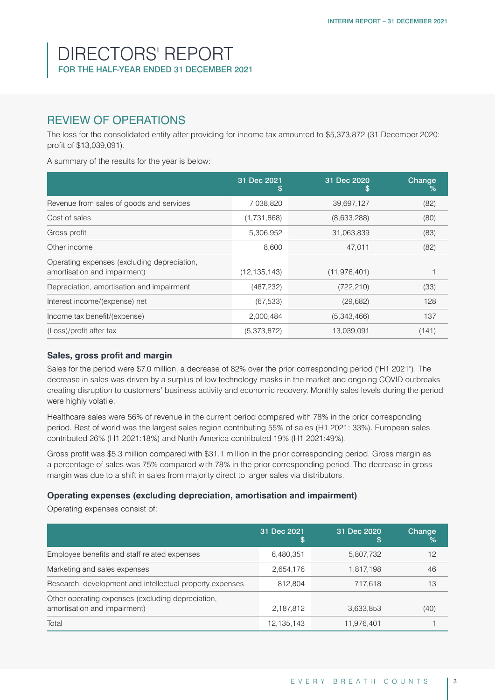## FOR THE HALF-YEAR ENDED 31 DECEMBER 2021 DIRECTORS' REPORT

### REVIEW OF OPERATIONS

The loss for the consolidated entity after providing for income tax amounted to \$5,373,872 (31 December 2020: profit of \$13,039,091).

A summary of the results for the year is below:

|                                                                             | 31 Dec 2021<br>৬ | 31 Dec 2020<br>ъ | Change<br>℅ |
|-----------------------------------------------------------------------------|------------------|------------------|-------------|
| Revenue from sales of goods and services                                    | 7,038,820        | 39,697,127       | (82)        |
| Cost of sales                                                               | (1,731,868)      | (8,633,288)      | (80)        |
| Gross profit                                                                | 5,306,952        | 31,063,839       | (83)        |
| Other income                                                                | 8,600            | 47,011           | (82)        |
| Operating expenses (excluding depreciation,<br>amortisation and impairment) | (12, 135, 143)   | (11, 976, 401)   |             |
| Depreciation, amortisation and impairment                                   | (487, 232)       | (722, 210)       | (33)        |
| Interest income/(expense) net                                               | (67, 533)        | (29, 682)        | 128         |
| Income tax benefit/(expense)                                                | 2,000,484        | (5,343,466)      | 137         |
| (Loss)/profit after tax                                                     | (5,373,872)      | 13,039,091       | (141)       |

#### **Sales, gross profit and margin**

Sales for the period were \$7.0 million, a decrease of 82% over the prior corresponding period ("H1 2021"). The decrease in sales was driven by a surplus of low technology masks in the market and ongoing COVID outbreaks creating disruption to customers' business activity and economic recovery. Monthly sales levels during the period were highly volatile.

Healthcare sales were 56% of revenue in the current period compared with 78% in the prior corresponding period. Rest of world was the largest sales region contributing 55% of sales (H1 2021: 33%). European sales contributed 26% (H1 2021:18%) and North America contributed 19% (H1 2021:49%).

Gross profit was \$5.3 million compared with \$31.1 million in the prior corresponding period. Gross margin as a percentage of sales was 75% compared with 78% in the prior corresponding period. The decrease in gross margin was due to a shift in sales from majority direct to larger sales via distributors.

### **Operating expenses (excluding depreciation, amortisation and impairment)**

Operating expenses consist of:

|                                                                                   | 31 Dec 2021<br>\$ | 31 Dec 2020<br>S | Change<br>% |
|-----------------------------------------------------------------------------------|-------------------|------------------|-------------|
| Employee benefits and staff related expenses                                      | 6,480,351         | 5,807,732        | 12          |
| Marketing and sales expenses                                                      | 2,654,176         | 1,817,198        | 46          |
| Research, development and intellectual property expenses                          | 812.804           | 717.618          | 13          |
| Other operating expenses (excluding depreciation,<br>amortisation and impairment) | 2,187,812         | 3,633,853        | (40)        |
| Total                                                                             | 12,135,143        | 11,976,401       |             |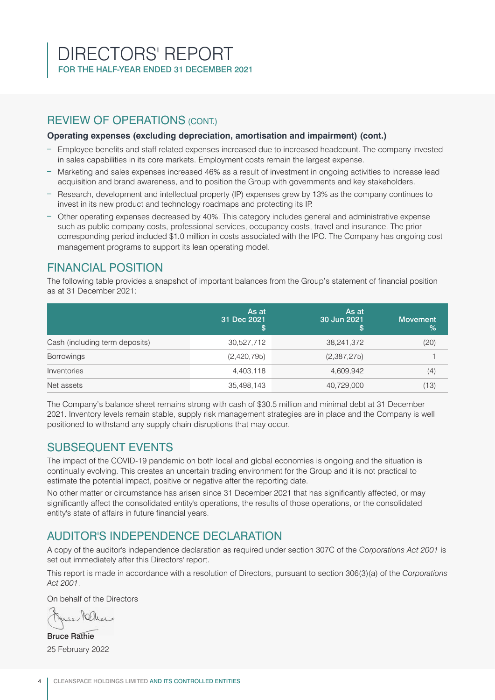# FOR THE HALF-YEAR ENDED 31 DECEMBER 2021 DIRECTORS' REPORT

### **REVIEW OF OPERATIONS (CONT.)**

#### **Operating expenses (excluding depreciation, amortisation and impairment) (cont.)**

- Employee benefits and staff related expenses increased due to increased headcount. The company invested in sales capabilities in its core markets. Employment costs remain the largest expense.
- Marketing and sales expenses increased 46% as a result of investment in ongoing activities to increase lead acquisition and brand awareness, and to position the Group with governments and key stakeholders.
- Research, development and intellectual property (IP) expenses grew by 13% as the company continues to invest in its new product and technology roadmaps and protecting its IP.
- Other operating expenses decreased by 40%. This category includes general and administrative expense such as public company costs, professional services, occupancy costs, travel and insurance. The prior corresponding period included \$1.0 million in costs associated with the IPO. The Company has ongoing cost management programs to support its lean operating model.

### FINANCIAL POSITION

The following table provides a snapshot of important balances from the Group's statement of financial position as at 31 December 2021:

|                                | As at<br>31 Dec 2021<br>\$ | As at<br>30 Jun 2021<br>S. | <b>Movement</b><br>% |
|--------------------------------|----------------------------|----------------------------|----------------------|
| Cash (including term deposits) | 30,527,712                 | 38,241,372                 | (20)                 |
| <b>Borrowings</b>              | (2,420,795)                | (2,387,275)                |                      |
| Inventories                    | 4,403,118                  | 4.609.942                  | (4)                  |
| Net assets                     | 35,498,143                 | 40,729,000                 | (13)                 |

The Company's balance sheet remains strong with cash of \$30.5 million and minimal debt at 31 December 2021. Inventory levels remain stable, supply risk management strategies are in place and the Company is well positioned to withstand any supply chain disruptions that may occur.

### SUBSEQUENT EVENTS

The impact of the COVID-19 pandemic on both local and global economies is ongoing and the situation is continually evolving. This creates an uncertain trading environment for the Group and it is not practical to estimate the potential impact, positive or negative after the reporting date.

No other matter or circumstance has arisen since 31 December 2021 that has significantly affected, or may significantly affect the consolidated entity's operations, the results of those operations, or the consolidated entity's state of affairs in future financial years.

### AUDITOR'S INDEPENDENCE DECLARATION

A copy of the auditor's independence declaration as required under section 307C of the *Corporations Act 2001* is set out immediately after this Directors' report.

This report is made in accordance with a resolution of Directors, pursuant to section 306(3)(a) of the *Corporations Act 2001*.

On behalf of the Directors

Juce Beller  $\sqrt{2}$ 

Bruce Rathie 25 February 2022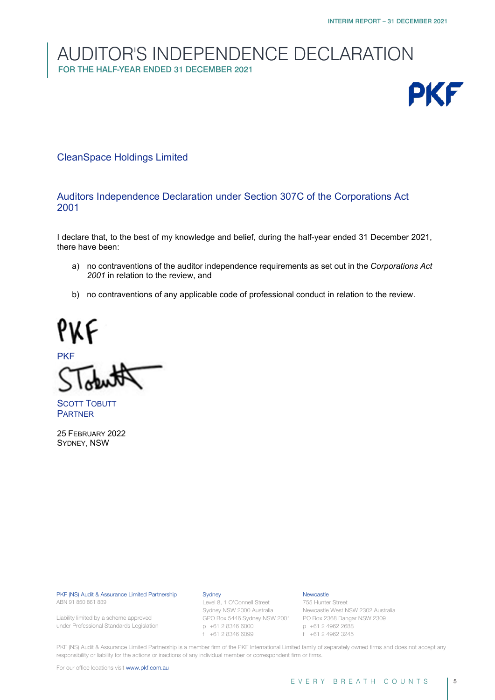# FOR THE HALF-YEAR ENDED 31 DECEMBER 2021 AUDITOR'S INDEPENDENCE DECLARATION



### CleanSpace Holdings Limited

#### Auditors Independence Declaration under Section 307C of the Corporations Act 2001 a) no contraventions of the auditor independence requirements as set out in the *Corporations Act*

I declare that, to the best of my knowledge and belief, during the half-year ended 31 December 2021, there have been:

- a) no contraventions of the auditor independence requirements as set out in the *Corporations Act 2001* in relation to the review, and
- b) no contraventions of any applicable code of professional conduct in relation to the review.



 $\overline{1}$ SYDNEY, NSW

**SCOTT TOBUTT** PARTNER

25 FEBRUARY 2022 SYDNEY, NSW

PKF (NS) Audit & Assurance Limited Partnership ABN 91 850 861 839

Liability limited by a scheme approved under Professional Standards Legislation Sydney

Level 8, 1 O'Connell Street Sydney NSW 2000 Australia GPO Box 5446 Sydney NSW 2001 PO Box 2368 Dangar NSW 2309 p +61 2 8346 6000 f +61 2 8346 6099

#### Newcastle

755 Hunter Street Newcastle West NSW 2302 Australia p +61 2 4962 2688 f +61 2 4962 3245

responsibility or liability for the actions or inactions of any individual member or correspondent firm or firms. PKF (NS) Audit & Assurance Limited Partnership is a member firm of the PKF International Limited family of separately owned firms and does not accept any

For our office locations visit www.pkf.com.au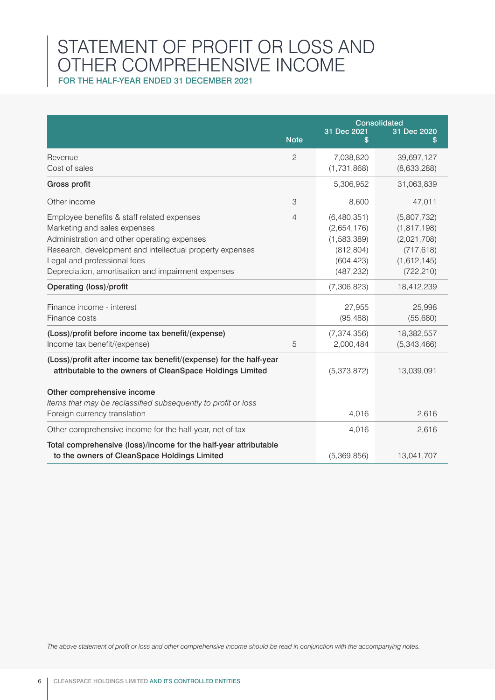# STATEMENT OF PROFIT OR LOSS AND OTHER COMPREHENSIVE INCOME

FOR THE HALF-YEAR ENDED 31 DECEMBER 2021

|                                                                                                                                                                                                                                                                            |              | Consolidated                                                                        |                                                                                        |  |
|----------------------------------------------------------------------------------------------------------------------------------------------------------------------------------------------------------------------------------------------------------------------------|--------------|-------------------------------------------------------------------------------------|----------------------------------------------------------------------------------------|--|
|                                                                                                                                                                                                                                                                            | <b>Note</b>  | 31 Dec 2021<br>S                                                                    | 31 Dec 2020<br>S                                                                       |  |
| Revenue<br>Cost of sales                                                                                                                                                                                                                                                   | $\mathbf{2}$ | 7,038,820<br>(1,731,868)                                                            | 39,697,127<br>(8,633,288)                                                              |  |
| <b>Gross profit</b>                                                                                                                                                                                                                                                        |              | 5,306,952                                                                           | 31,063,839                                                                             |  |
| Other income                                                                                                                                                                                                                                                               | 3            | 8,600                                                                               | 47,011                                                                                 |  |
| Employee benefits & staff related expenses<br>Marketing and sales expenses<br>Administration and other operating expenses<br>Research, development and intellectual property expenses<br>Legal and professional fees<br>Depreciation, amortisation and impairment expenses | 4            | (6,480,351)<br>(2,654,176)<br>(1,583,389)<br>(812, 804)<br>(604, 423)<br>(487, 232) | (5,807,732)<br>(1, 817, 198)<br>(2,021,708)<br>(717, 618)<br>(1,612,145)<br>(722, 210) |  |
| <b>Operating (loss)/profit</b>                                                                                                                                                                                                                                             |              | (7,306,823)                                                                         | 18,412,239                                                                             |  |
| Finance income - interest<br>Finance costs                                                                                                                                                                                                                                 |              | 27,955<br>(95, 488)                                                                 | 25,998<br>(55,680)                                                                     |  |
| (Loss)/profit before income tax benefit/(expense)<br>Income tax benefit/(expense)                                                                                                                                                                                          | 5            | (7, 374, 356)<br>2,000,484                                                          | 18,382,557<br>(5,343,466)                                                              |  |
| (Loss)/profit after income tax benefit/(expense) for the half-year<br>attributable to the owners of CleanSpace Holdings Limited                                                                                                                                            |              | (5,373,872)                                                                         | 13,039,091                                                                             |  |
| Other comprehensive income<br>Items that may be reclassified subsequently to profit or loss                                                                                                                                                                                |              |                                                                                     |                                                                                        |  |
| Foreign currency translation                                                                                                                                                                                                                                               |              | 4,016                                                                               | 2,616                                                                                  |  |
| Other comprehensive income for the half-year, net of tax                                                                                                                                                                                                                   |              | 4,016                                                                               | 2,616                                                                                  |  |
| Total comprehensive (loss)/income for the half-year attributable<br>to the owners of CleanSpace Holdings Limited                                                                                                                                                           |              | (5,369,856)                                                                         | 13,041,707                                                                             |  |

*The above statement of profit or loss and other comprehensive income should be read in conjunction with the accompanying notes.*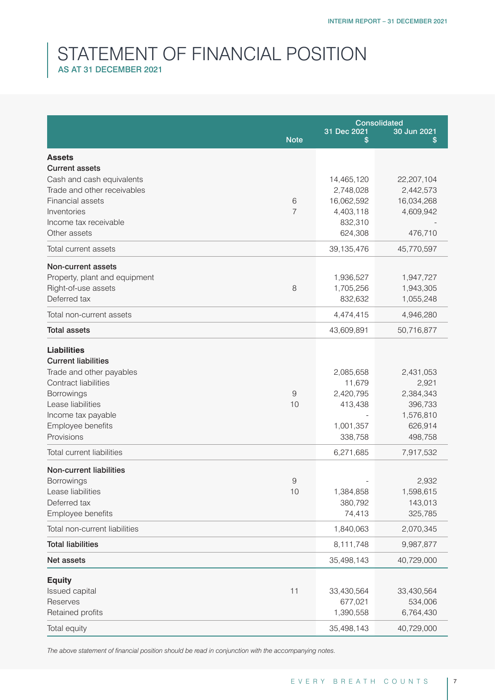# AS AT 31 DECEMBER 2021 STATEMENT OF FINANCIAL POSITION

|                                                     |                | Consolidated       |                   |  |
|-----------------------------------------------------|----------------|--------------------|-------------------|--|
|                                                     | <b>Note</b>    | 31 Dec 2021<br>S   | 30 Jun 2021<br>\$ |  |
| Assets                                              |                |                    |                   |  |
| <b>Current assets</b>                               |                |                    |                   |  |
| Cash and cash equivalents                           |                | 14,465,120         | 22,207,104        |  |
| Trade and other receivables                         |                | 2,748,028          | 2,442,573         |  |
| <b>Financial assets</b>                             | $6\,$          | 16,062,592         | 16,034,268        |  |
| Inventories                                         | $\overline{7}$ | 4,403,118          | 4,609,942         |  |
| Income tax receivable<br>Other assets               |                | 832,310<br>624,308 | 476,710           |  |
| Total current assets                                |                | 39, 135, 476       | 45,770,597        |  |
|                                                     |                |                    |                   |  |
| Non-current assets<br>Property, plant and equipment |                | 1,936,527          | 1,947,727         |  |
| Right-of-use assets                                 | 8              | 1,705,256          | 1,943,305         |  |
| Deferred tax                                        |                | 832,632            | 1,055,248         |  |
| Total non-current assets                            |                | 4,474,415          | 4,946,280         |  |
| <b>Total assets</b>                                 |                | 43,609,891         | 50,716,877        |  |
|                                                     |                |                    |                   |  |
| <b>Liabilities</b><br><b>Current liabilities</b>    |                |                    |                   |  |
| Trade and other payables                            |                | 2,085,658          | 2,431,053         |  |
| Contract liabilities                                |                | 11,679             | 2,921             |  |
| <b>Borrowings</b>                                   | 9              | 2,420,795          | 2,384,343         |  |
| Lease liabilities                                   | 10             | 413,438            | 396,733           |  |
| Income tax payable                                  |                |                    | 1,576,810         |  |
| Employee benefits                                   |                | 1,001,357          | 626,914           |  |
| Provisions                                          |                | 338,758            | 498,758           |  |
| <b>Total current liabilities</b>                    |                | 6,271,685          | 7,917,532         |  |
| <b>Non-current liabilities</b>                      |                |                    |                   |  |
| <b>Borrowings</b>                                   | 9              |                    | 2,932             |  |
| Lease liabilities                                   | 10             | 1,384,858          | 1,598,615         |  |
| Deferred tax                                        |                | 380,792            | 143,013           |  |
| Employee benefits                                   |                | 74,413             | 325,785           |  |
| Total non-current liabilities                       |                | 1,840,063          | 2,070,345         |  |
| <b>Total liabilities</b>                            |                | 8,111,748          | 9,987,877         |  |
| Net assets                                          |                | 35,498,143         | 40,729,000        |  |
| <b>Equity</b>                                       |                |                    |                   |  |
| Issued capital                                      | 11             | 33,430,564         | 33,430,564        |  |
| Reserves                                            |                | 677,021            | 534,006           |  |
| Retained profits                                    |                | 1,390,558          | 6,764,430         |  |
| Total equity                                        |                | 35,498,143         | 40,729,000        |  |

*The above statement of financial position should be read in conjunction with the accompanying notes.*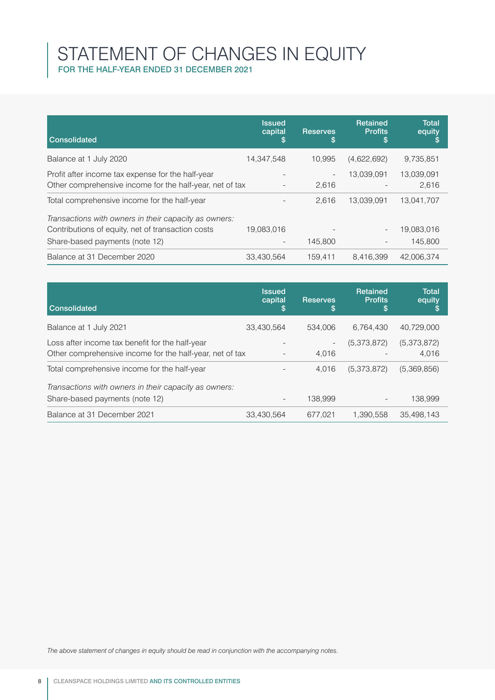# FOR THE HALF-YEAR ENDED 31 DECEMBER 2021 STATEMENT OF CHANGES IN EQUITY

| Consolidated                                                                                                                                 | <b>Issued</b><br>capital<br>\$         | <b>Reserves</b><br>S | <b>Retained</b><br><b>Profits</b><br>S | <b>Total</b><br>equity |
|----------------------------------------------------------------------------------------------------------------------------------------------|----------------------------------------|----------------------|----------------------------------------|------------------------|
| Balance at 1 July 2020                                                                                                                       | 14,347,548                             | 10.995               | (4,622,692)                            | 9,735,851              |
| Profit after income tax expense for the half-year<br>Other comprehensive income for the half-year, net of tax                                |                                        | 2,616                | 13,039,091                             | 13,039,091<br>2,616    |
| Total comprehensive income for the half-year                                                                                                 |                                        | 2.616                | 13,039,091                             | 13,041,707             |
| Transactions with owners in their capacity as owners:<br>Contributions of equity, net of transaction costs<br>Share-based payments (note 12) | 19,083,016<br>$\overline{\phantom{a}}$ | 145,800              | $\overline{\phantom{0}}$               | 19,083,016<br>145,800  |
| Balance at 31 December 2020                                                                                                                  | 33.430.564                             | 159.411              | 8.416.399                              | 42.006.374             |

| <b>Consolidated</b>                                                                                         | <b>Issued</b><br>capital<br>S | <b>Reserves</b><br>\$             | Retained<br><b>Profits</b><br>S | <b>Total</b><br>equity<br>S |
|-------------------------------------------------------------------------------------------------------------|-------------------------------|-----------------------------------|---------------------------------|-----------------------------|
| Balance at 1 July 2021                                                                                      | 33,430,564                    | 534,006                           | 6.764.430                       | 40,729,000                  |
| Loss after income tax benefit for the half-year<br>Other comprehensive income for the half-year, net of tax |                               | $\overline{\phantom{0}}$<br>4.016 | (5,373,872)                     | (5,373,872)<br>4.016        |
| Total comprehensive income for the half-year                                                                |                               | 4.016                             | (5,373,872)                     | (5,369,856)                 |
| Transactions with owners in their capacity as owners:<br>Share-based payments (note 12)                     | $\overline{\phantom{a}}$      | 138,999                           |                                 | 138.999                     |
| Balance at 31 December 2021                                                                                 | 33.430.564                    | 677.021                           | 1.390.558                       | 35.498.143                  |

*The above statement of changes in equity should be read in conjunction with the accompanying notes.*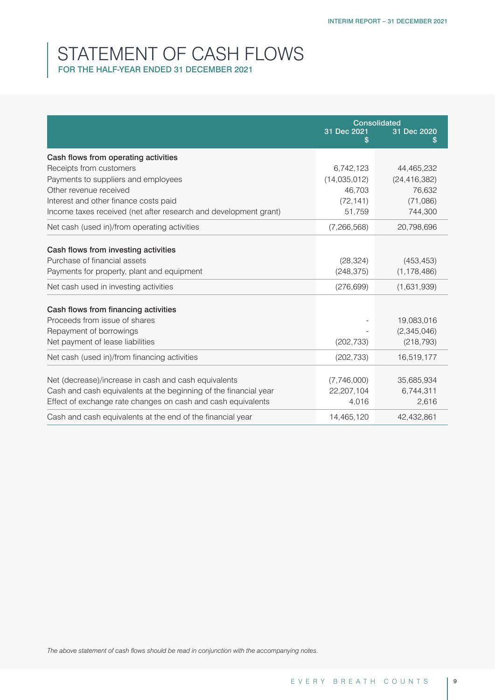# FOR THE HALF-YEAR ENDED 31 DECEMBER 2021 STATEMENT OF CASH FLOWS

|                                                                  | <b>Consolidated</b> |                  |
|------------------------------------------------------------------|---------------------|------------------|
|                                                                  | 31 Dec 2021<br>S    | 31 Dec 2020<br>S |
| Cash flows from operating activities                             |                     |                  |
| Receipts from customers                                          | 6,742,123           | 44,465,232       |
| Payments to suppliers and employees                              | (14,035,012)        | (24, 416, 382)   |
| Other revenue received                                           | 46,703              | 76,632           |
| Interest and other finance costs paid                            | (72, 141)           | (71,086)         |
| Income taxes received (net after research and development grant) | 51,759              | 744,300          |
| Net cash (used in)/from operating activities                     | (7, 266, 568)       | 20,798,696       |
| Cash flows from investing activities                             |                     |                  |
| Purchase of financial assets                                     | (28, 324)           | (453, 453)       |
| Payments for property, plant and equipment                       | (248, 375)          | (1, 178, 486)    |
| Net cash used in investing activities                            | (276, 699)          | (1,631,939)      |
| Cash flows from financing activities                             |                     |                  |
| Proceeds from issue of shares                                    |                     | 19,083,016       |
| Repayment of borrowings                                          |                     | (2,345,046)      |
| Net payment of lease liabilities                                 | (202, 733)          | (218, 793)       |
| Net cash (used in)/from financing activities                     | (202, 733)          | 16,519,177       |
| Net (decrease)/increase in cash and cash equivalents             | (7,746,000)         | 35,685,934       |
| Cash and cash equivalents at the beginning of the financial year | 22,207,104          | 6,744,311        |
| Effect of exchange rate changes on cash and cash equivalents     | 4,016               | 2,616            |
| Cash and cash equivalents at the end of the financial year       | 14,465,120          | 42,432,861       |

*The above statement of cash flows should be read in conjunction with the accompanying notes.*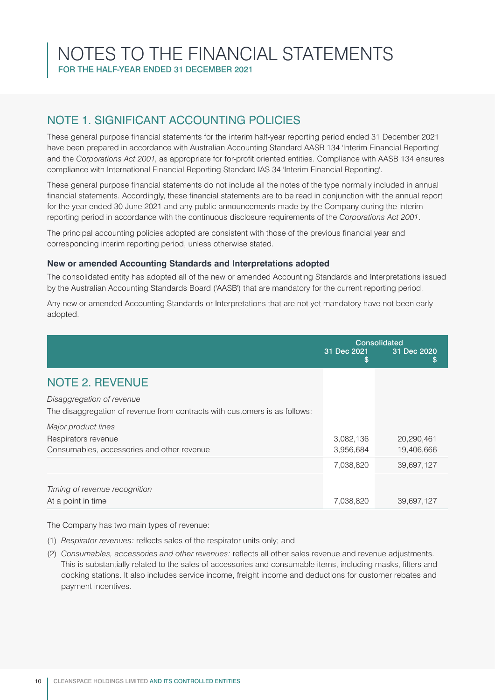### NOTE 1. SIGNIFICANT ACCOUNTING POLICIES

These general purpose financial statements for the interim half-year reporting period ended 31 December 2021 have been prepared in accordance with Australian Accounting Standard AASB 134 'Interim Financial Reporting' and the *Corporations Act 2001*, as appropriate for for-profit oriented entities. Compliance with AASB 134 ensures compliance with International Financial Reporting Standard IAS 34 'Interim Financial Reporting'.

These general purpose financial statements do not include all the notes of the type normally included in annual financial statements. Accordingly, these financial statements are to be read in conjunction with the annual report for the year ended 30 June 2021 and any public announcements made by the Company during the interim reporting period in accordance with the continuous disclosure requirements of the *Corporations Act 2001*.

The principal accounting policies adopted are consistent with those of the previous financial year and corresponding interim reporting period, unless otherwise stated.

#### **New or amended Accounting Standards and Interpretations adopted**

The consolidated entity has adopted all of the new or amended Accounting Standards and Interpretations issued by the Australian Accounting Standards Board ('AASB') that are mandatory for the current reporting period.

Any new or amended Accounting Standards or Interpretations that are not yet mandatory have not been early adopted.

|                                                                                                         | 31 Dec 2021<br>S | Consolidated<br>31 Dec 2020<br>S |
|---------------------------------------------------------------------------------------------------------|------------------|----------------------------------|
| <b>NOTE 2. REVENUE</b>                                                                                  |                  |                                  |
| Disaggregation of revenue<br>The disaggregation of revenue from contracts with customers is as follows: |                  |                                  |
| Major product lines                                                                                     |                  |                                  |
| Respirators revenue                                                                                     | 3,082,136        | 20,290,461                       |
| Consumables, accessories and other revenue                                                              | 3,956,684        | 19,406,666                       |
|                                                                                                         | 7,038,820        | 39,697,127                       |
| Timing of revenue recognition                                                                           |                  |                                  |
| At a point in time                                                                                      | 7,038,820        | 39,697,127                       |

The Company has two main types of revenue:

- (1) *Respirator revenues:* reflects sales of the respirator units only; and
- (2) *Consumables, accessories and other revenues:* reflects all other sales revenue and revenue adjustments. This is substantially related to the sales of accessories and consumable items, including masks, filters and docking stations. It also includes service income, freight income and deductions for customer rebates and payment incentives.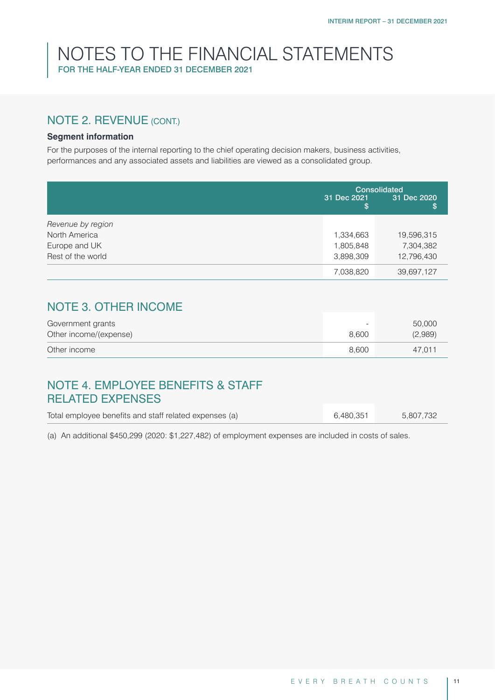### NOTE 2. REVENUE (CONT.)

#### **Segment information**

For the purposes of the internal reporting to the chief operating decision makers, business activities, performances and any associated assets and liabilities are viewed as a consolidated group.

|                   |                  | <b>Consolidated</b> |  |
|-------------------|------------------|---------------------|--|
|                   | 31 Dec 2021<br>S | 31 Dec 2020<br>\$   |  |
| Revenue by region |                  |                     |  |
| North America     | 1,334,663        | 19,596,315          |  |
| Europe and UK     | 1,805,848        | 7,304,382           |  |
| Rest of the world | 3,898,309        | 12,796,430          |  |
|                   | 7,038,820        | 39,697,127          |  |

### NOTE 3. OTHER INCOME

| Government grants      | -     | 50,000  |
|------------------------|-------|---------|
| Other income/(expense) | 8.600 | (2,989) |
| Other income           | 8.600 | 47.011  |

### NOTE 4. EMPLOYEE BENEFITS & STAFF RELATED EXPENSES

| Total employee benefits and staff related expenses (a) | 6,480,351 | 5,807,732 |
|--------------------------------------------------------|-----------|-----------|
|                                                        |           |           |

(a) An additional \$450,299 (2020: \$1,227,482) of employment expenses are included in costs of sales.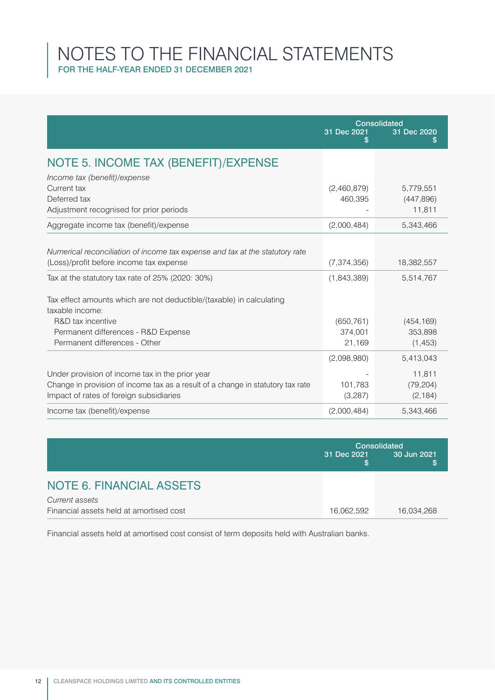|                                                                                 |                  | Consolidated     |  |
|---------------------------------------------------------------------------------|------------------|------------------|--|
|                                                                                 | 31 Dec 2021<br>S | 31 Dec 2020<br>S |  |
| NOTE 5. INCOME TAX (BENEFIT)/EXPENSE                                            |                  |                  |  |
| Income tax (benefit)/expense                                                    |                  |                  |  |
| Current tax                                                                     | (2,460,879)      | 5,779,551        |  |
| Deferred tax                                                                    | 460,395          | (447, 896)       |  |
| Adjustment recognised for prior periods                                         |                  | 11,811           |  |
| Aggregate income tax (benefit)/expense                                          | (2,000,484)      | 5,343,466        |  |
|                                                                                 |                  |                  |  |
| Numerical reconciliation of income tax expense and tax at the statutory rate    |                  |                  |  |
| (Loss)/profit before income tax expense                                         | (7, 374, 356)    | 18,382,557       |  |
| Tax at the statutory tax rate of 25% (2020: 30%)                                | (1,843,389)      | 5,514,767        |  |
| Tax effect amounts which are not deductible/(taxable) in calculating            |                  |                  |  |
| taxable income:                                                                 |                  |                  |  |
| R&D tax incentive                                                               | (650, 761)       | (454, 169)       |  |
| Permanent differences - R&D Expense                                             | 374,001          | 353,898          |  |
| Permanent differences - Other                                                   | 21,169           | (1, 453)         |  |
|                                                                                 | (2,098,980)      | 5,413,043        |  |
| Under provision of income tax in the prior year                                 |                  | 11,811           |  |
| Change in provision of income tax as a result of a change in statutory tax rate | 101,783          | (79, 204)        |  |
| Impact of rates of foreign subsidiaries                                         | (3, 287)         | (2, 184)         |  |
| Income tax (benefit)/expense                                                    | (2,000,484)      | 5,343,466        |  |

|                                         | Consolidated      |                  |  |
|-----------------------------------------|-------------------|------------------|--|
|                                         | 31 Dec 2021<br>'S | 30 Jun 2021<br>S |  |
| <b>NOTE 6. FINANCIAL ASSETS</b>         |                   |                  |  |
| Current assets                          |                   |                  |  |
| Financial assets held at amortised cost | 16,062,592        | 16,034,268       |  |

Financial assets held at amortised cost consist of term deposits held with Australian banks.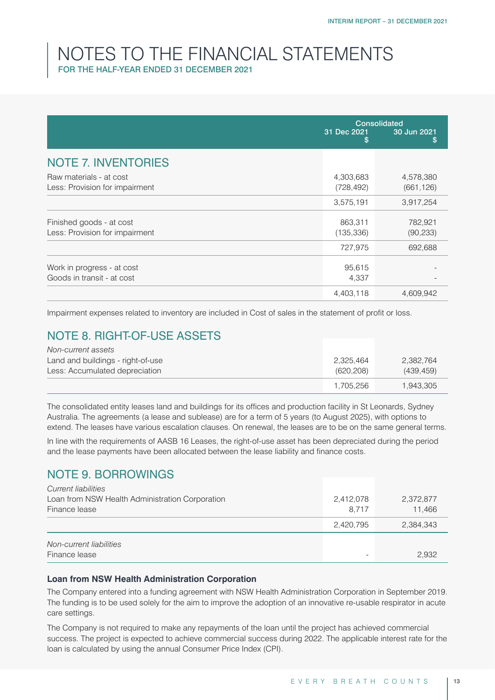|                                                            | 31 Dec 2021<br>S        | <b>Consolidated</b><br>30 Jun 2021<br>S |
|------------------------------------------------------------|-------------------------|-----------------------------------------|
| <b>NOTE 7. INVENTORIES</b>                                 |                         |                                         |
| Raw materials - at cost<br>Less: Provision for impairment  | 4,303,683<br>(728, 492) | 4,578,380<br>(661, 126)                 |
|                                                            | 3,575,191               | 3,917,254                               |
| Finished goods - at cost<br>Less: Provision for impairment | 863,311<br>(135, 336)   | 782,921<br>(90, 233)                    |
|                                                            | 727,975                 | 692,688                                 |
| Work in progress - at cost<br>Goods in transit - at cost   | 95,615<br>4,337         |                                         |
|                                                            | 4,403,118               | 4,609,942                               |

Impairment expenses related to inventory are included in Cost of sales in the statement of profit or loss.

### NOTE 8. RIGHT-OF-USE ASSETS

|                                   | 1.705.256 | 1.943.305 |
|-----------------------------------|-----------|-----------|
| Less: Accumulated depreciation    | (620.208) | (439.459) |
| Land and buildings - right-of-use | 2.325.464 | 2.382.764 |
| Non-current assets                |           |           |

The consolidated entity leases land and buildings for its offices and production facility in St Leonards, Sydney Australia. The agreements (a lease and sublease) are for a term of 5 years (to August 2025), with options to extend. The leases have various escalation clauses. On renewal, the leases are to be on the same general terms.

In line with the requirements of AASB 16 Leases, the right-of-use asset has been depreciated during the period and the lease payments have been allocated between the lease liability and finance costs.

### NOTE 9. BORROWINGS

| Current liabilities<br>Loan from NSW Health Administration Corporation<br>Finance lease | 2,412,078<br>8.717 | 2,372,877<br>11.466 |
|-----------------------------------------------------------------------------------------|--------------------|---------------------|
|                                                                                         | 2,420,795          | 2,384,343           |
| Non-current liabilities<br>Finance lease                                                |                    | 2.932               |

### **Loan from NSW Health Administration Corporation**

The Company entered into a funding agreement with NSW Health Administration Corporation in September 2019. The funding is to be used solely for the aim to improve the adoption of an innovative re-usable respirator in acute care settings.

The Company is not required to make any repayments of the loan until the project has achieved commercial success. The project is expected to achieve commercial success during 2022. The applicable interest rate for the loan is calculated by using the annual Consumer Price Index (CPI).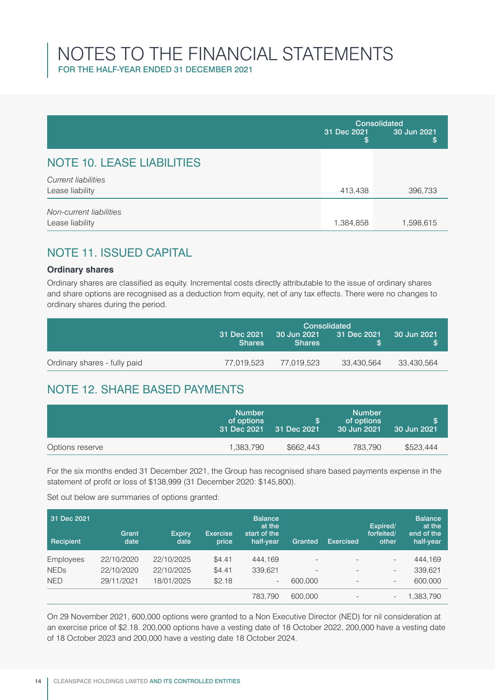|                                            | <b>Consolidated</b><br>30 Jun 2021<br>31 Dec 2021<br>۱\$,<br>\$ |           |  |
|--------------------------------------------|-----------------------------------------------------------------|-----------|--|
| <b>NOTE 10. LEASE LIABILITIES</b>          |                                                                 |           |  |
| Current liabilities<br>Lease liability     | 413,438                                                         | 396,733   |  |
| Non-current liabilities<br>Lease liability | 1,384,858                                                       | 1,598,615 |  |

### NOTE 11. ISSUED CAPITAL

### **Ordinary shares**

Ordinary shares are classified as equity. Incremental costs directly attributable to the issue of ordinary shares and share options are recognised as a deduction from equity, net of any tax effects. There were no changes to ordinary shares during the period.

|                              | Consolidated                 |                              |             |                   |
|------------------------------|------------------------------|------------------------------|-------------|-------------------|
|                              | 31 Dec 2021<br><b>Shares</b> | 30 Jun 2021<br><b>Shares</b> | 31 Dec 2021 | 30 Jun 2021<br>£. |
| Ordinary shares - fully paid | 77.019.523                   | 77.019.523                   | 33.430.564  | 33.430.564        |

### NOTE 12. SHARE BASED PAYMENTS

|                 | <b>Number</b><br>of options<br>31 Dec 2021 | S<br>31 Dec 2021 | <b>Number</b><br>of options<br>30 Jun 2021 | 30 Jun 2021 |
|-----------------|--------------------------------------------|------------------|--------------------------------------------|-------------|
| Options reserve | 1.383.790                                  | \$662,443        | 783.790                                    | \$523,444   |

For the six months ended 31 December 2021, the Group has recognised share based payments expense in the statement of profit or loss of \$138,999 (31 December 2020: \$145,800).

Set out below are summaries of options granted:

| 31 Dec 2021<br>Recipient | Grant<br>date | <b>Expiry</b><br>date | <b>Exercise</b><br>price | <b>Balance</b><br>at the<br>start of the<br>half-year | Granted                  | <b>Exercised</b> | Expired/<br>forfeited/<br>other | <b>Balance</b><br>at the<br>end of the<br>half-year |
|--------------------------|---------------|-----------------------|--------------------------|-------------------------------------------------------|--------------------------|------------------|---------------------------------|-----------------------------------------------------|
| Employees                | 22/10/2020    | 22/10/2025            | \$4.41                   | 444.169                                               | $\overline{\phantom{a}}$ |                  | $\overline{\phantom{0}}$        | 444.169                                             |
| <b>NEDs</b>              | 22/10/2020    | 22/10/2025            | \$4.41                   | 339.621                                               | $\qquad \qquad -$        | -                | $\overline{\phantom{0}}$        | 339.621                                             |
| <b>NED</b>               | 29/11/2021    | 18/01/2025            | \$2.18                   | $\overline{\phantom{0}}$                              | 600,000                  |                  | $\overline{\phantom{0}}$        | 600,000                                             |
|                          |               |                       |                          | 783.790                                               | 600,000                  |                  |                                 | 1,383,790                                           |

On 29 November 2021, 600,000 options were granted to a Non Executive Director (NED) for nil consideration at an exercise price of \$2.18. 200,000 options have a vesting date of 18 October 2022, 200,000 have a vesting date of 18 October 2023 and 200,000 have a vesting date 18 October 2024.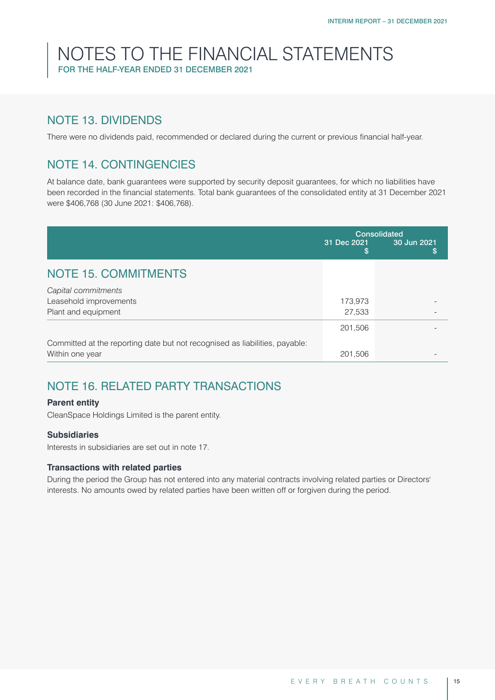### NOTE 13. DIVIDENDS

There were no dividends paid, recommended or declared during the current or previous financial half-year.

### NOTE 14. CONTINGENCIES

At balance date, bank guarantees were supported by security deposit guarantees, for which no liabilities have been recorded in the financial statements. Total bank guarantees of the consolidated entity at 31 December 2021 were \$406,768 (30 June 2021: \$406,768).

|                                                                             | <b>Consolidated</b> |                  |  |
|-----------------------------------------------------------------------------|---------------------|------------------|--|
|                                                                             | 31 Dec 2021<br>S    | 30 Jun 2021<br>S |  |
| <b>NOTE 15, COMMITMENTS</b>                                                 |                     |                  |  |
| Capital commitments                                                         |                     |                  |  |
| Leasehold improvements                                                      | 173,973             |                  |  |
| Plant and equipment                                                         | 27,533              |                  |  |
|                                                                             | 201,506             |                  |  |
| Committed at the reporting date but not recognised as liabilities, payable: |                     |                  |  |
| Within one year                                                             | 201,506             |                  |  |

### NOTE 16. RELATED PARTY TRANSACTIONS

#### **Parent entity**

CleanSpace Holdings Limited is the parent entity.

### **Subsidiaries**

Interests in subsidiaries are set out in note 17.

#### **Transactions with related parties**

During the period the Group has not entered into any material contracts involving related parties or Directors' interests. No amounts owed by related parties have been written off or forgiven during the period.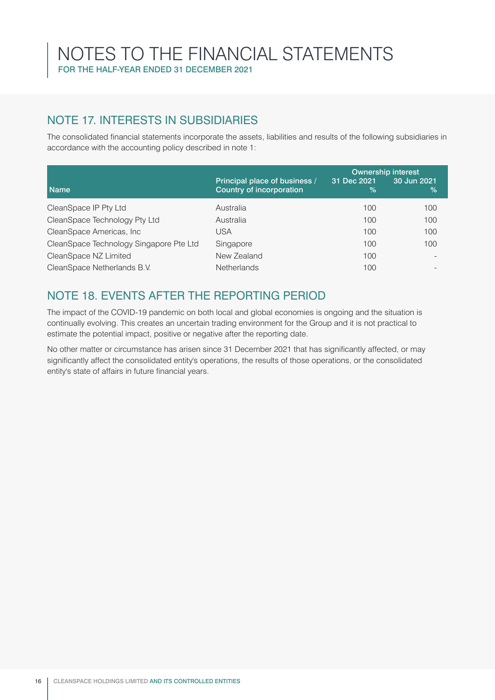### NOTE 17. INTERESTS IN SUBSIDIARIES

The consolidated financial statements incorporate the assets, liabilities and results of the following subsidiaries in accordance with the accounting policy described in note 1:

| l Name                                  | Principal place of business /<br>Country of incorporation | <b>Ownership interest</b><br>31 Dec 2021<br>% | 30 Jun 2021<br>%         |
|-----------------------------------------|-----------------------------------------------------------|-----------------------------------------------|--------------------------|
| CleanSpace IP Pty Ltd                   | Australia                                                 | 100                                           | 100                      |
| CleanSpace Technology Pty Ltd           | Australia                                                 | 100                                           | 100                      |
| CleanSpace Americas, Inc.               | USA                                                       | 100                                           | 100                      |
| CleanSpace Technology Singapore Pte Ltd | Singapore                                                 | 100                                           | 100                      |
| CleanSpace NZ Limited                   | New Zealand                                               | 100                                           | $\overline{\phantom{a}}$ |
| CleanSpace Netherlands B.V.             | <b>Netherlands</b>                                        | 100                                           | $\overline{\phantom{a}}$ |

### NOTE 18. EVENTS AFTER THE REPORTING PERIOD

The impact of the COVID-19 pandemic on both local and global economies is ongoing and the situation is continually evolving. This creates an uncertain trading environment for the Group and it is not practical to estimate the potential impact, positive or negative after the reporting date.

No other matter or circumstance has arisen since 31 December 2021 that has significantly affected, or may significantly affect the consolidated entity's operations, the results of those operations, or the consolidated entity's state of affairs in future financial years.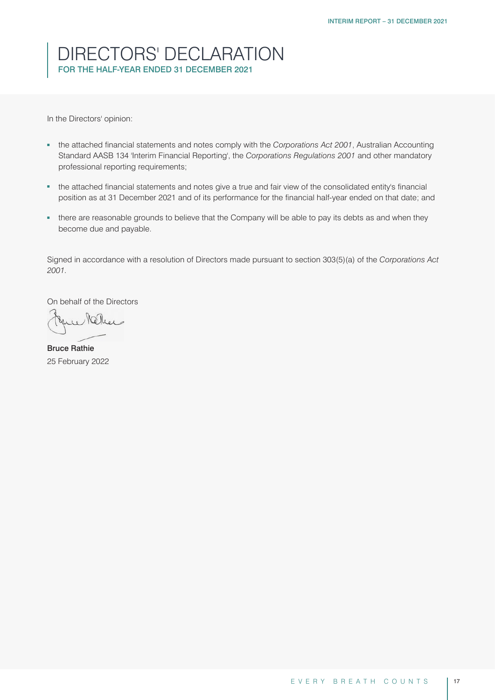# FOR THE HALF-YEAR ENDED 31 DECEMBER 2021 DIRECTORS' DECLARATION

In the Directors' opinion:

- n the attached financial statements and notes comply with the *Corporations Act 2001*, Australian Accounting Standard AASB 134 'Interim Financial Reporting', the *Corporations Regulations 2001* and other mandatory professional reporting requirements;
- the attached financial statements and notes give a true and fair view of the consolidated entity's financial position as at 31 December 2021 and of its performance for the financial half-year ended on that date; and
- there are reasonable grounds to believe that the Company will be able to pay its debts as and when they become due and payable.

Signed in accordance with a resolution of Directors made pursuant to section 303(5)(a) of the *Corporations Act 2001.*

On behalf of the Directors

Valley Ì

Bruce Rathie 25 February 2022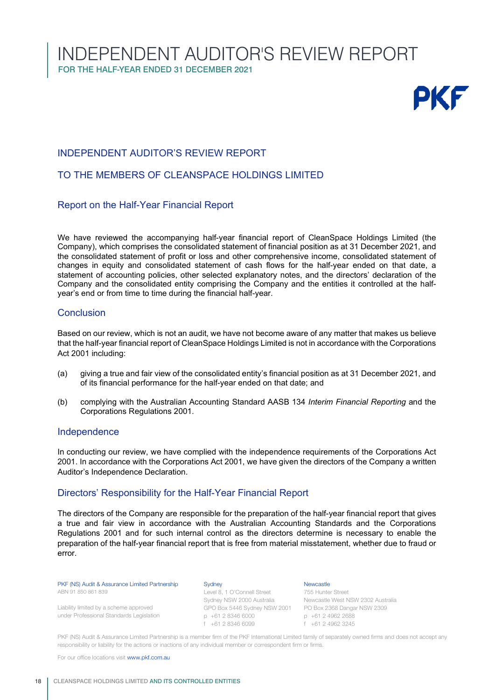# FOR THE HALF-YEAR ENDED 31 DECEMBER 2021 INDEPENDENT AUDITOR'S REVIEW REPORT



### INDEPENDENT AUDITOR'S REVIEW REPORT

### TO THE MEMBERS OF CLEANSPACE HOLDINGS LIMITED

#### the consolidated statement of profits and other comprehensive income, consolidated statement of profits and ot<br>The Members of the Members of Cleanseal and the members of consolidated statement of the members of the member changes in the statement of cash flows for the half-year ended on the half-year ended on the half-year ended on that date, and the half-year ended on the half-year ended on the half-year ended on the half-year ended on the Report on the Half-Year Financial Report

We have reviewed the accompanying half-year financial report of CleanSpace Holdings Limited (the the consolidated statement of profit or loss and other comprehensive income, consolidated statement of the consolidated statement of  $B_{\rm BH}$  and the concelled on the secret of an audit company matter of any matter of any matter of any matter of  $\epsilon$  $t$  that the bondom control report of  $\epsilon$  is not in accordance the Corporation and  $\epsilon$  corporations of  $\epsilon$  in a corporations of  $\epsilon$  in a corporations of  $\epsilon$  in a corporations of  $\epsilon$  in a corporations of  $\epsilon$  in a co year's end or from time to time during the financial half-year.<br>' changes in equity and consolidated statement of cash flows for the half-year ended on that date, a statement of accounting policies, other selected explanatory notes, and the directors' declaration of the Company and the consolidated entity comprising the Company and the entities it controlled at the half-Company), which comprises the consolidated statement of financial position as at 31 December 2021, and

#### $\alpha$  true and fair view of the consolidated entity  $\alpha$  at  $31$  December 2021, and 31 December 2021, and 31 December 2021, and 31 December 2021, and 31 December 2021, and 31 December 2021, and 31 December 2021, and 31 Dec  $\mathcal{C}$  company and the consolidated entity company and the entities it controlled at the entities it controlled at the half- $\blacksquare$ Conclusion

Based on our review, which is not an audit, we have not become aware of any matter that makes us believe that the half-year financial report of CleanSpace Holdings Limited is not in accordance with the Corporations<br>Act 2004 including: domy. Act 2001 including: which is not an audit, we have not believe aware of any matter that makes us believe aware of any matter that makes us believes us believes us believes us believes us believes us believes us believes us

- giving a true and fair view of the consolidated entity s imancial position<br>of its financial performance for the half-year ended on that date; and (a)  $\;$  giving a true and fair view of the consolidated entity's financial position as at 31 December 2021, and
- $S_{\text{C}}$  complying with the Australian Accounting Standard AASB 134 Interim Einancial Penorting and the 2001. In accordance with the Corporations Act 2001, with the directors of the directors of the Company and the Company and the Company and the Company and the Company and the Company and the Company and the Company and the Auditor's Independence Declaration. (a) giving a true and fair view of the consolidated entity's financial position as at 31 December 2021, and (b) complying with the Australian Accounting Standard AASB 134 *Interim Financial Reporting* and the Corporations Regulations 2001.

### Independence

2001. In accordance with the Corporations Act 2001, we have given the directors of the Company a written Auditor's Independence Declaration. Regulations 2001 and for such internal control as the directors determine is necessary to enable the In conducting our review, we have complied with the independence requirements of the Corporations Act

#### tors' Responsibility for the Half-Year Financial Report Directors' Responsibility for the Half-Year Financial Report

The directors of the Company are responsible for the preparation of the half-year financial report that gives<br> Regulations 2001 and for such internal control as the directors determine is necessary to enable the preparation of the half-year financial report that is free from material misstatement, whether due to fraud or  $\mathcal{R}$ egulations 2001 and for such internal control as the directors determine is necessary to enable the directors determine is necessary to enable the directors determine is necessary to enable the directors of the di a true and fair view in accordance with the Australian Accounting Standards and the Corporations error.

PKF (NS) Audit & Assurance Limited Partnership ABN 91 850 861 839

Liability limited by a scheme approved under Professional Standards Legislation

**Sydney** Level 8, 1 O'Connell Street Sydney NSW 2000 Australia GPO Box 5446 Sydney NSW 2001 PO Box 2368 Dangar NSW 2309 p +61 2 8346 6000  $+61283466099$ 

Newcastle 755 Hunter Street Newcastle West NSW 2302 Australia p +61 2 4962 2688 f +61 2 4962 3245

PKF (NS) Audit & Assurance Limited Partnership is a member firm of the PKF International Limited family of separately owned firms and does not accept any responsibility or liability for the actions or inactions of any individual member or correspondent firm or firms.

PKF (NS) Audit & Assurance Limited Partnership is a member firm of the PKF International Limited family of separately owned firms and does not accept any

For our office locations visit www.pkf.com.au

under Professional Standards Legislation

responsibility or liability for the actions or inactions of any individual member or correspondent firm or firms.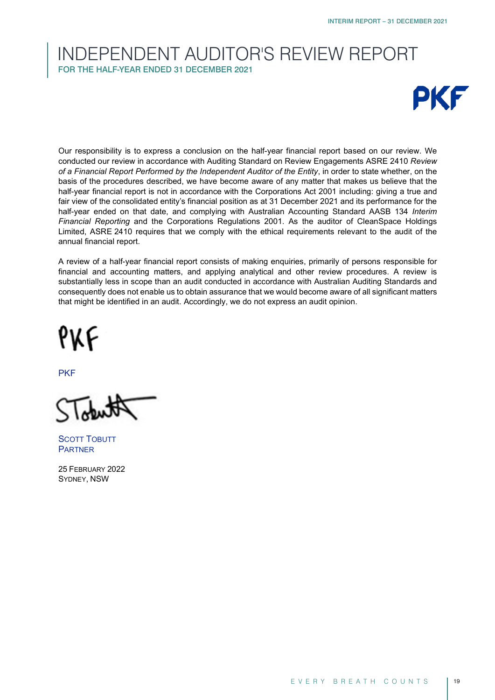# FOR THE HALF-YEAR ENDED 31 DECEMBER 2021 INDEPENDENT AUDITOR'S REVIEW REPORT

PKF

*of a Financial Report Performed by the Independent Auditor of the Entity*, in order to state whether, on the<br>hasia of the ancoral was described and have has an ancora of any matter that makes we halians that the The Total International report to the influence and the componential reception of the consolidated entity's financial position as at 31 December 2021 and its performance for the Financial Reporting and the Corporations Regulations 2001. As the addition of Cleancipace Holdings Our responsibility is to express a conclusion on the half-year financial report based on our review. We conducted our review in accordance with Auditing Standard on Review Engagements ASRE 2410 *Review*  basis of the procedures described, we have become aware of any matter that makes us believe that the half-year financial report is not in accordance with the Corporations Act 2001 including: giving a true and half-year ended on that date, and complying with Australian Accounting Standard AASB 134 *Interim Financial Reporting* and the Corporations Regulations 2001. As the auditor of CleanSpace Holdings annual financial report.

A review of a half-year financial report consists of making enquiries, primarily of persons responsible for financial and accounting matters, and applying analytical and other review procedures. A review is mander and accompanies, and opporting and other comprehensive income, consolidated statement of the consolidated statement of the substantially less in scope than an audit conducted in accordance with Australian Auditing S casolidated in each flow flows find the statement of cash flows for the half-year ended on that date, and consequently does not enable us to obtain assurance that we would become aware of all significant matters statement of accounting policies and the directors of accounting policies, and the directors' declaration of the directors' declaration of the directors' declaration of the directors' declaration of the directors' declarat that might be identified in an audit. Accordingly, we do not express an audit opinion.

PKF

that the half-year financial report of  $C$  cleanSpace Holdings Limited is not in accordance with the Corporations Limited is not in accordance with the Corporations Limited is not in accordance with the Corporations Limit Act 2001 including: **PKF** 

 $\alpha$  true and fair view of the consolidated entity financial position as at 31 December 2021, and 31 December 2021, and 31 December 2021, and 31 December 2021, and 31 December 2021, and 31 December 2021, and 31 December 2  $\overline{a}$ (b) complying with the Australian Accounting Standard AASB 134 *Interim Financial Reporting* and the

SCOTT TOBUTT PARTNER

In conducting our review, we have complied with the independence requirements of the independence requirements of the Corporations Actions Actions Actions Actions Actions Actions Actions Actions Actions Actions Actions Act 2001. In accordance with the Corporations Act 2001, we have given the directors of the Company and Company a written the Company and Company a written the Company and Company a written the Company and Company a written the 25 FEBRUARY 2022 SYDNEY, NSW